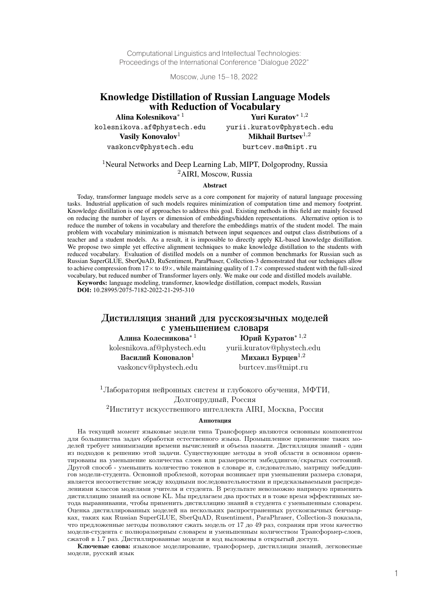Computational Linguistics and Intellectual Technologies: Proceedings of the International Conference "Dialogue 2022"

Moscow, June 15–18, 2022

# Knowledge Distillation of Russian Language Models **With Reduction of Vocabulary**<br>Alina Kolesnikova<sup>\* 1</sup> Vuri Kur

Yuri Kuratov $*$  1,2 kolesnikova.af@phystech.edu yurii.kuratov@phystech.edu Vasily Konovalov<sup>1</sup> Mikhail Burtsev<sup>1,2</sup> vaskoncv@phystech.edu burtcev.ms@mipt.ru

#### <sup>1</sup>Neural Networks and Deep Learning Lab, MIPT, Dolgoprodny, Russia <sup>2</sup>AIRI, Moscow, Russia

#### Abstract

Today, transformer language models serve as a core component for majority of natural language processing tasks. Industrial application of such models requires minimization of computation time and memory footprint. Knowledge distillation is one of approaches to address this goal. Existing methods in this field are mainly focused on reducing the number of layers or dimension of embeddings/hidden representations. Alternative option is to reduce the number of tokens in vocabulary and therefore the embeddings matrix of the student model. The main problem with vocabulary minimization is mismatch between input sequences and output class distributions of a teacher and a student models. As a result, it is impossible to directly apply KL-based knowledge distillation. We propose two simple yet effective alignment techniques to make knowledge distillation to the students with reduced vocabulary. Evaluation of distilled models on a number of common benchmarks for Russian such as Russian SuperGLUE, SberQuAD, RuSentiment, ParaPhaser, Collection-3 demonstrated that our techniques allow to achieve compression from  $17 \times$  to  $49 \times$ , while maintaining quality of  $1.7 \times$  compressed student with the full-sized vocabulary, but reduced number of Transformer layers only. We make our code and distilled models available.

Keywords: language modeling, transformer, knowledge distillation, compact models, Russian **DOI:** 10.28995/2075-7182-2022-21-295-310

# Дистилляция знаний для русскоязычных моделей с уменьшением словаря<br>A пина Колесникова<sup>\* 1</sup> Юрий К

 $\mathbf{H}$ Юрий Куратов $*$  1,2 kolesnikova.af@phystech.edu yurii.kuratov@phystech.edu Василий Коновалов<sup>1</sup> Михаил Бурцев<sup>1,2</sup> vaskoncv@phystech.edu burtcev.ms@mipt.ru

<sup>1</sup>Лаборатория нейронных систем и глубокого обучения, МФТИ, Долгопрудный, Россия

<sup>2</sup>Институт искусственного интеллекта AIRI, Москва, Россия

#### Аннотация

На текущий момент языковые модели типа Трансформер являются основным компонентом для большинства задач обработки естественного языка. Промышленное применение таких моделей требует минимизации времени вычислений и объема памяти. Дистилляция знаний - один из подходов к решению этой задачи. Существующие методы в этой области в основном ориентированы на уменьшение количества слоев или размерности эмбеддингов/скрытых состояний. Другой способ - уменьшить количество токенов в словаре и, следовательно, матрицу эмбеддингов модели-студента. Основной проблемой, которая возникает при уменьшении размера словаря, является несоответствие между входными последовательностями и предсказываемыми распределениями классов моделями учителя и студента. В результате невозможно напрямую применить дистилляцию знаний на основе KL. Мы предлагаем два простых и в тоже время эффективных метода выравнивания, чтобы применить дистилляцию знаний в студента с уменьшенным словарем. Оценка дистиллированных моделей на нескольких распространенных русскоязычных бенчмарках, таких как Russian SuperGLUE, SberQuAD, Rusentiment, ParaPhraser, Collection-3 показала, что предложенные методы позволяют сжать модель от 17 до 49 раз, сохраняя при этом качество модели-студента с полноразмерным словарем и уменьшенным количеством Трансформер-слоев, сжатой в 1.7 раз. Дистиллированные модели и код выложены в открытый доступ.

Ключевые слова: языковое моделирование, трансформер, дистилляция знаний, легковесные модели, русский язык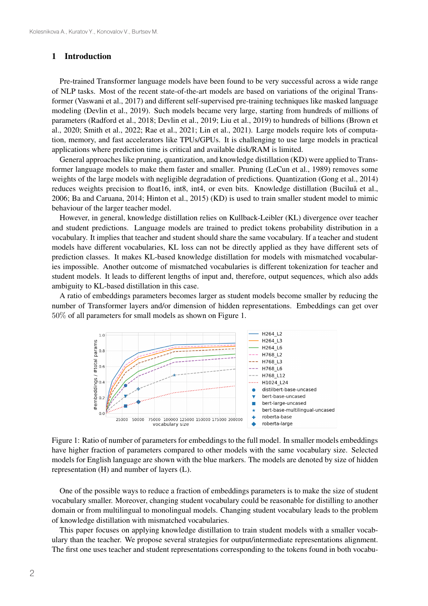#### 1 Introduction

Pre-trained Transformer language models have been found to be very successful across a wide range of NLP tasks. Most of the recent state-of-the-art models are based on variations of the original Transformer (Vaswani et al., 2017) and different self-supervised pre-training techniques like masked language modeling (Devlin et al., 2019). Such models became very large, starting from hundreds of millions of parameters (Radford et al., 2018; Devlin et al., 2019; Liu et al., 2019) to hundreds of billions (Brown et al., 2020; Smith et al., 2022; Rae et al., 2021; Lin et al., 2021). Large models require lots of computation, memory, and fast accelerators like TPUs/GPUs. It is challenging to use large models in practical applications where prediction time is critical and available disk/RAM is limited.

General approaches like pruning, quantization, and knowledge distillation (KD) were applied to Transformer language models to make them faster and smaller. Pruning (LeCun et al., 1989) removes some weights of the large models with negligible degradation of predictions. Quantization (Gong et al., 2014) reduces weights precision to float 16, inthe  $\tilde{A}$ , or even bits. Knowledge distillation (Bucilua et al., 2006; Ba and Caruana, 2014; Hinton et al., 2015) (KD) is used to train smaller student model to mimic behaviour of the larger teacher model.

However, in general, knowledge distillation relies on Kullback-Leibler (KL) divergence over teacher and student predictions. Language models are trained to predict tokens probability distribution in a vocabulary. It implies that teacher and student should share the same vocabulary. If a teacher and student models have different vocabularies, KL loss can not be directly applied as they have different sets of prediction classes. It makes KL-based knowledge distillation for models with mismatched vocabularies impossible. Another outcome of mismatched vocabularies is different tokenization for teacher and student models. It leads to different lengths of input and, therefore, output sequences, which also adds ambiguity to KL-based distillation in this case.

A ratio of embeddings parameters becomes larger as student models become smaller by reducing the number of Transformer layers and/or dimension of hidden representations. Embeddings can get over 50% of all parameters for small models as shown on Figure 1.



Figure 1: Ratio of number of parameters for embeddings to the full model. In smaller models embeddings have higher fraction of parameters compared to other models with the same vocabulary size. Selected models for English language are shown with the blue markers. The models are denoted by size of hidden representation (H) and number of layers (L).

One of the possible ways to reduce a fraction of embeddings parameters is to make the size of student vocabulary smaller. Moreover, changing student vocabulary could be reasonable for distilling to another domain or from multilingual to monolingual models. Changing student vocabulary leads to the problem of knowledge distillation with mismatched vocabularies.

This paper focuses on applying knowledge distillation to train student models with a smaller vocabulary than the teacher. We propose several strategies for output/intermediate representations alignment. The first one uses teacher and student representations corresponding to the tokens found in both vocabu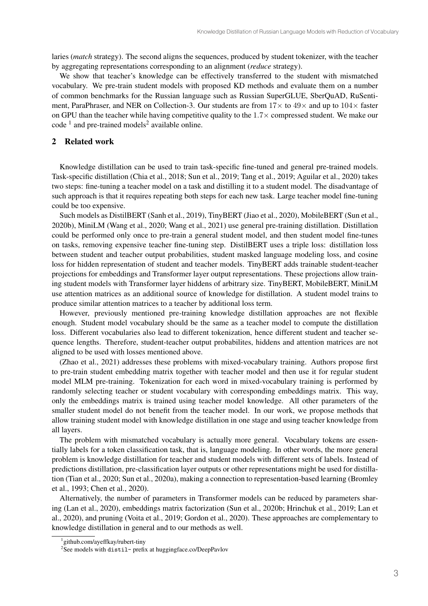laries (*match* strategy). The second aligns the sequences, produced by student tokenizer, with the teacher by aggregating representations corresponding to an alignment (*reduce* strategy).

We show that teacher's knowledge can be effectively transferred to the student with mismatched vocabulary. We pre-train student models with proposed KD methods and evaluate them on a number of common benchmarks for the Russian language such as Russian SuperGLUE, SberQuAD, RuSentiment, ParaPhraser, and NER on Collection-3. Our students are from  $17\times$  to  $49\times$  and up to  $104\times$  faster on GPU than the teacher while having competitive quality to the  $1.7\times$  compressed student. We make our  $code<sup>1</sup>$  and pre-trained models<sup>2</sup> available online.

## 2 Related work

Knowledge distillation can be used to train task-specific fine-tuned and general pre-trained models. Task-specific distillation (Chia et al., 2018; Sun et al., 2019; Tang et al., 2019; Aguilar et al., 2020) takes two steps: fine-tuning a teacher model on a task and distilling it to a student model. The disadvantage of such approach is that it requires repeating both steps for each new task. Large teacher model fine-tuning could be too expensive.

Such models as DistilBERT (Sanh et al., 2019), TinyBERT (Jiao et al., 2020), MobileBERT (Sun et al., 2020b), MiniLM (Wang et al., 2020; Wang et al., 2021) use general pre-training distillation. Distillation could be performed only once to pre-train a general student model, and then student model fine-tunes on tasks, removing expensive teacher fine-tuning step. DistilBERT uses a triple loss: distillation loss between student and teacher output probabilities, student masked language modeling loss, and cosine loss for hidden representation of student and teacher models. TinyBERT adds trainable student-teacher projections for embeddings and Transformer layer output representations. These projections allow training student models with Transformer layer hiddens of arbitrary size. TinyBERT, MobileBERT, MiniLM use attention matrices as an additional source of knowledge for distillation. A student model trains to produce similar attention matrices to a teacher by additional loss term.

However, previously mentioned pre-training knowledge distillation approaches are not flexible enough. Student model vocabulary should be the same as a teacher model to compute the distillation loss. Different vocabularies also lead to different tokenization, hence different student and teacher sequence lengths. Therefore, student-teacher output probabilites, hiddens and attention matrices are not aligned to be used with losses mentioned above.

(Zhao et al., 2021) addresses these problems with mixed-vocabulary training. Authors propose first to pre-train student embedding matrix together with teacher model and then use it for regular student model MLM pre-training. Tokenization for each word in mixed-vocabulary training is performed by randomly selecting teacher or student vocabulary with corresponding embeddings matrix. This way, only the embeddings matrix is trained using teacher model knowledge. All other parameters of the smaller student model do not benefit from the teacher model. In our work, we propose methods that allow training student model with knowledge distillation in one stage and using teacher knowledge from all layers.

The problem with mismatched vocabulary is actually more general. Vocabulary tokens are essentially labels for a token classification task, that is, language modeling. In other words, the more general problem is knowledge distillation for teacher and student models with different sets of labels. Instead of predictions distillation, pre-classification layer outputs or other representations might be used for distillation (Tian et al., 2020; Sun et al., 2020a), making a connection to representation-based learning (Bromley et al., 1993; Chen et al., 2020).

Alternatively, the number of parameters in Transformer models can be reduced by parameters sharing (Lan et al., 2020), embeddings matrix factorization (Sun et al., 2020b; Hrinchuk et al., 2019; Lan et al., 2020), and pruning (Voita et al., 2019; Gordon et al., 2020). These approaches are complementary to knowledge distillation in general and to our methods as well.

<sup>1</sup> github.com/ayeffkay/rubert-tiny

 $2$ See models with distil- prefix at huggingface.co/DeepPavlov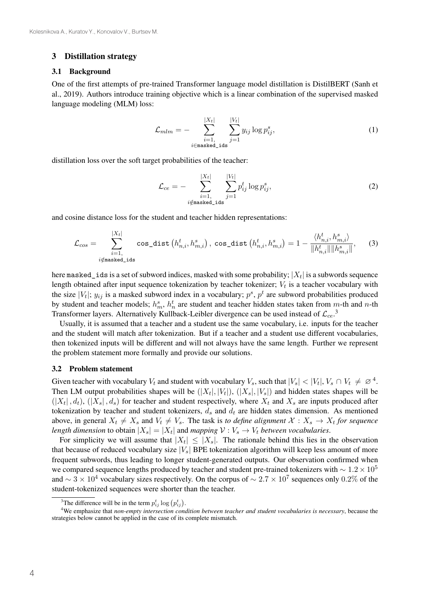#### 3 Distillation strategy

#### 3.1 Background

One of the first attempts of pre-trained Transformer language model distillation is DistilBERT (Sanh et al., 2019). Authors introduce training objective which is a linear combination of the supervised masked language modeling (MLM) loss:

$$
\mathcal{L}_{mlm} = -\sum_{\substack{i=1, \\ i \in \text{masked\_ids}}}^{|X_t|} \sum_{j=1}^{|V_t|} y_{ij} \log p_{ij}^s,\tag{1}
$$

distillation loss over the soft target probabilities of the teacher:

$$
\mathcal{L}_{ce} = -\sum_{\substack{i=1, \\ i \notin \text{masked}\_ids}}^{|X_t|} \sum_{j=1}^{|V_t|} p_{ij}^t \log p_{ij}^s,\tag{2}
$$

and cosine distance loss for the student and teacher hidden representations:

$$
\mathcal{L}_{cos} = \sum_{\substack{i=1, \\ i \notin \text{masked\_ids}}}^{|X_t|} \cos\_{\text{dist}}\left(h_{n,i}^t, h_{m,i}^s\right), \cos\_{\text{dist}}\left(h_{n,i}^t, h_{m,i}^s\right) = 1 - \frac{\langle h_{n,i}^t, h_{m,i}^s \rangle}{\|h_{n,i}^t\| \|h_{m,i}^s\|},\tag{3}
$$

here masked ids is a set of subword indices, masked with some probability;  $|X_t|$  is a subwords sequence length obtained after input sequence tokenization by teacher tokenizer;  $V_t$  is a teacher vocabulary with the size |V<sub>t</sub>|;  $y_{ij}$  is a masked subword index in a vocabulary;  $p^s$ ,  $p^t$  are subword probabilities produced by student and teacher models;  $h_m^s$ ,  $h_n^t$  are student and teacher hidden states taken from  $m$ -th and  $n$ -th Transformer layers. Alternatively Kullback-Leibler divergence can be used instead of  $\mathcal{L}_{ce}$ .<sup>3</sup>

Usually, it is assumed that a teacher and a student use the same vocabulary, i.e. inputs for the teacher and the student will match after tokenization. But if a teacher and a student use different vocabularies, then tokenized inputs will be different and will not always have the same length. Further we represent the problem statement more formally and provide our solutions.

#### 3.2 Problem statement

Given teacher with vocabulary  $V_t$  and student with vocabulary  $V_s$ , such that  $|V_s| < |V_t|, V_s \cap V_t \neq \emptyset^4$ . Then LM output probabilities shapes will be  $(|X_t|, |V_t|)$ ,  $(|X_s|, |V_s|)$  and hidden states shapes will be  $(|X_t|, d_t)$ ,  $(|X_s|, d_s)$  for teacher and student respectively, where  $X_t$  and  $X_s$  are inputs produced after tokenization by teacher and student tokenizers,  $d_s$  and  $d_t$  are hidden states dimension. As mentioned above, in general  $X_t \neq X_s$  and  $V_t \neq V_s$ . The task is *to define alignment*  $X : X_s \to X_t$  for sequence *length dimension* to obtain  $|X_s| = |X_t|$  and *mapping*  $V : V_s \to V_t$  *between vocabularies.* 

For simplicity we will assume that  $|X_t| \leq |X_s|$ . The rationale behind this lies in the observation that because of reduced vocabulary size  $|V_s|$  BPE tokenization algorithm will keep less amount of more frequent subwords, thus leading to longer student-generated outputs. Our observation confirmed when we compared sequence lengths produced by teacher and student pre-trained tokenizers with  $\sim 1.2 \times 10^5$ and  $\sim 3 \times 10^4$  vocabulary sizes respectively. On the corpus of  $\sim 2.7 \times 10^7$  sequences only 0.2% of the student-tokenized sequences were shorter than the teacher.

<sup>&</sup>lt;sup>3</sup>The difference will be in the term  $p_{ij}^t \log (p_{ij}^t)$ .

<sup>4</sup> We emphasize that *non-empty intersection condition between teacher and student vocabularies is necessary*, because the strategies below cannot be applied in the case of its complete mismatch.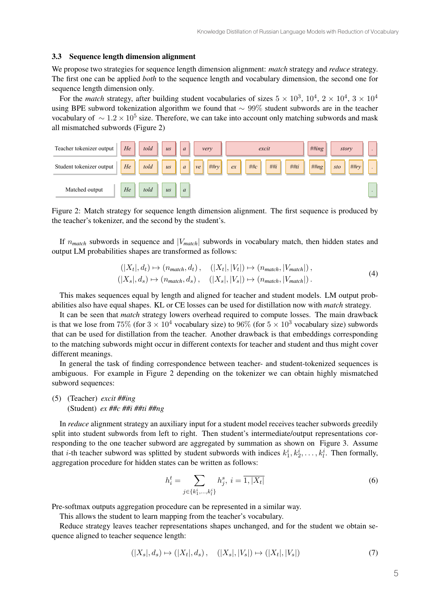#### 3.3 Sequence length dimension alignment

We propose two strategies for sequence length dimension alignment: *match* strategy and *reduce* strategy. The first one can be applied *both* to the sequence length and vocabulary dimension, the second one for sequence length dimension only.

For the *match* strategy, after building student vocabularies of sizes  $5 \times 10^3$ ,  $10^4$ ,  $2 \times 10^4$ ,  $3 \times 10^4$ using BPE subword tokenization algorithm we found that ∼ 99% student subwords are in the teacher vocabulary of  $\sim 1.2 \times 10^5$  size. Therefore, we can take into account only matching subwords and mask all mismatched subwords (Figure 2)



Figure 2: Match strategy for sequence length dimension alignment. The first sequence is produced by the teacher's tokenizer, and the second by the student's.

If  $n_{match}$  subwords in sequence and  $|V_{match}|$  subwords in vocabulary match, then hidden states and output LM probabilities shapes are transformed as follows:

$$
(|X_t|, d_t) \mapsto (n_{match}, d_t), \quad (|X_t|, |V_t|) \mapsto (n_{match}, |V_{match}|),
$$
  

$$
(|X_s|, d_s) \mapsto (n_{match}, d_s), \quad (|X_s|, |V_s|) \mapsto (n_{match}, |V_{match}|).
$$
 (4)

This makes sequences equal by length and aligned for teacher and student models. LM output probabilities also have equal shapes. KL or CE losses can be used for distillation now with *match* strategy.

It can be seen that *match* strategy lowers overhead required to compute losses. The main drawback is that we lose from 75% (for  $3 \times 10^4$  vocabulary size) to 96% (for  $5 \times 10^3$  vocabulary size) subwords that can be used for distillation from the teacher. Another drawback is that embeddings corresponding to the matching subwords might occur in different contexts for teacher and student and thus might cover different meanings.

In general the task of finding correspondence between teacher- and student-tokenized sequences is ambiguous. For example in Figure 2 depending on the tokenizer we can obtain highly mismatched subword sequences:

#### (5) (Teacher) *excit ##ing* (Student) *ex ##c ##i ##ti ##ng*

In *reduce* alignment strategy an auxiliary input for a student model receives teacher subwords greedily split into student subwords from left to right. Then student's intermediate/output representations corresponding to the one teacher subword are aggregated by summation as shown on Figure 3. Assume that *i*-th teacher subword was splitted by student subwords with indices  $k_1^i, k_2^i, \ldots, k_l^i$ . Then formally, aggregation procedure for hidden states can be written as follows:

$$
h_i^t = \sum_{j \in \{k_1^i, \dots, k_l^i\}} h_j^s, \ i = \overline{1, |X_t|} \tag{6}
$$

Pre-softmax outputs aggregation procedure can be represented in a similar way.

This allows the student to learn mapping from the teacher's vocabulary.

Reduce strategy leaves teacher representations shapes unchanged, and for the student we obtain sequence aligned to teacher sequence length:

$$
(|X_s|, d_s) \mapsto (|X_t|, d_s), \quad (|X_s|, |V_s|) \mapsto (|X_t|, |V_s|) \tag{7}
$$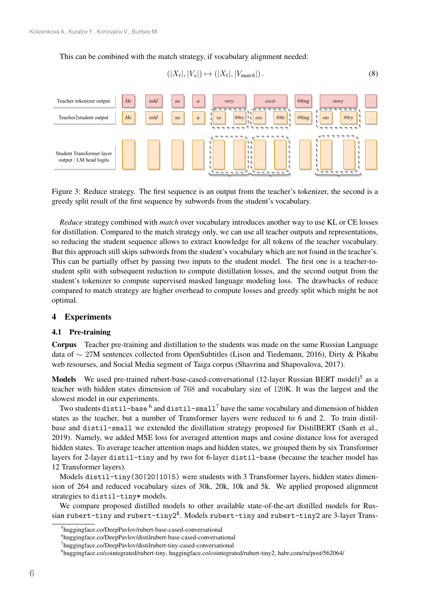#### This can be combined with the match strategy, if vocabulary alignment needed:

$$
(|X_t|, |V_s|) \mapsto (|X_t|, |V_{match}|).
$$
\n
$$
(8)
$$



Figure 3: Reduce strategy. The first sequence is an output from the teacher's tokenizer, the second is a greedy split result of the first sequence by subwords from the student's vocabulary.

*Reduce* strategy combined with *match* over vocabulary introduces another way to use KL or CE losses for distillation. Compared to the match strategy only, we can use all teacher outputs and representations, so reducing the student sequence allows to extract knowledge for all tokens of the teacher vocabulary. But this approach still skips subwords from the student's vocabulary which are not found in the teacher's. This can be partially offset by passing two inputs to the student model. The first one is a teacher-tostudent split with subsequent reduction to compute distillation losses, and the second output from the student's tokenizer to compute supervised masked language modeling loss. The drawbacks of reduce compared to match strategy are higher overhead to compute losses and greedy split which might be not optimal.

#### 4 Experiments

#### 4.1 Pre-training

Corpus Teacher pre-training and distillation to the students was made on the same Russian Language data of ∼ 27M sentences collected from OpenSubtitles (Lison and Tiedemann, 2016), Dirty & Pikabu web resourses, and Social Media segment of Taiga corpus (Shavrina and Shapovalova, 2017).

Models We used pre-trained rubert-base-cased-conversational (12-layer Russian BERT model)<sup>5</sup> as a teacher with hidden states dimension of 768 and vocabulary size of 120K. It was the largest and the slowest model in our experiments.

Two students distil-base  $^6$  and distil-small<sup>7</sup> have the same vocabulary and dimension of hidden states as the teacher, but a number of Transformer layers were reduced to 6 and 2. To train distilbase and distil-small we extended the distillation strategy proposed for DistilBERT (Sanh et al., 2019). Namely, we added MSE loss for averaged attention maps and cosine distance loss for averaged hidden states. To average teacher attention maps and hidden states, we grouped them by six Transformer layers for 2-layer distil-tiny and by two for 6-layer distil-base (because the teacher model has 12 Transformer layers).

Models distil-tiny(30|20|10|5) were students with 3 Transformer layers, hidden states dimension of 264 and reduced vocabulary sizes of 30k, 20k, 10k and 5k. We applied proposed alignment strategies to distil-tiny\* models.

We compare proposed distilled models to other available state-of-the-art distilled models for Russian rubert-tiny and rubert-tiny28. Models rubert-tiny and rubert-tiny2 are 3-layer Trans-

<sup>5</sup> huggingface.co/DeepPavlov/rubert-base-cased-conversational

<sup>6</sup> huggingface.co/DeepPavlov/distilrubert-base-cased-conversational

<sup>7</sup> huggingface.co/DeepPavlov/distilrubert-tiny-cased-conversational

<sup>8</sup> huggingface.co/cointegrated/rubert-tiny, huggingface.co/cointegrated/rubert-tiny2, habr.com/ru/post/562064/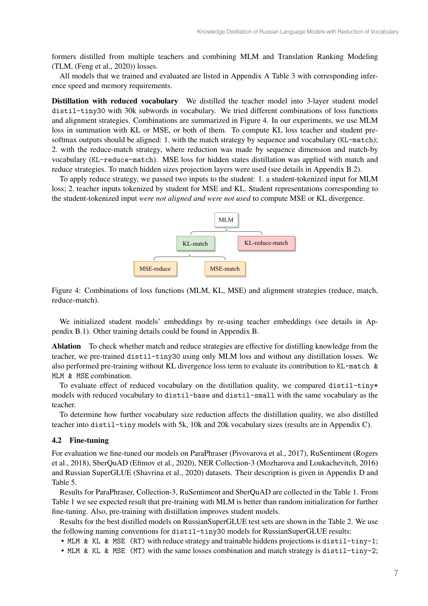formers distilled from multiple teachers and combining MLM and Translation Ranking Modeling (TLM, (Feng et al., 2020)) losses.

All models that we trained and evaluated are listed in Appendix A Table 3 with corresponding inference speed and memory requirements.

Distillation with reduced vocabulary We distilled the teacher model into 3-layer student model distil-tiny30 with 30k subwords in vocabulary. We tried different combinations of loss functions and alignment strategies. Combinations are summarized in Figure 4. In our experiments, we use MLM loss in summation with KL or MSE, or both of them. To compute KL loss teacher and student presoftmax outputs should be aligned: 1. with the match strategy by sequence and vocabulary (KL-match); 2. with the reduce-match strategy, where reduction was made by sequence dimension and match-by vocabulary (KL-reduce-match). MSE loss for hidden states distillation was applied with match and reduce strategies. To match hidden sizes projection layers were used (see details in Appendix B.2).

To apply reduce strategy, we passed two inputs to the student: 1. a student-tokenized input for MLM loss; 2. teacher inputs tokenized by student for MSE and KL. Student representations corresponding to the student-tokenized input *were not aligned and were not used* to compute MSE or KL divergence.



Figure 4: Combinations of loss functions (MLM, KL, MSE) and alignment strategies (reduce, match, reduce-match).

We initialized student models' embeddings by re-using teacher embeddings (see details in Appendix B.1). Other training details could be found in Appendix B.

Ablation To check whether match and reduce strategies are effective for distilling knowledge from the teacher, we pre-trained distil-tiny30 using only MLM loss and without any distillation losses. We also performed pre-training without KL divergence loss term to evaluate its contribution to KL-match & MLM & MSE combination.

To evaluate effect of reduced vocabulary on the distillation quality, we compared distil-tiny\* models with reduced vocabulary to distil-base and distil-small with the same vocabulary as the teacher.

To determine how further vocabulary size reduction affects the distillation quality, we also distilled teacher into distil-tiny models with 5k, 10k and 20k vocabulary sizes (results are in Appendix C).

#### 4.2 Fine-tuning

For evaluation we fine-tuned our models on ParaPhraser (Pivovarova et al., 2017), RuSentiment (Rogers et al., 2018), SberQuAD (Efimov et al., 2020), NER Collection-3 (Mozharova and Loukachevitch, 2016) and Russian SuperGLUE (Shavrina et al., 2020) datasets. Their description is given in Appendix D and Table 5.

Results for ParaPhraser, Collection-3, RuSentiment and SberQuAD are collected in the Table 1. From Table 1 we see expected result that pre-training with MLM is better than random initialization for further fine-tuning. Also, pre-training with distillation improves student models.

Results for the best distilled models on RussianSuperGLUE test sets are shown in the Table 2. We use the following naming conventions for distil-tiny30 models for RussianSuperGLUE results:

- MLM & KL & MSE (RT) with reduce strategy and trainable hiddens projections is distil-tiny-1;
- MLM & KL & MSE (MT) with the same losses combination and match strategy is distil-tiny-2;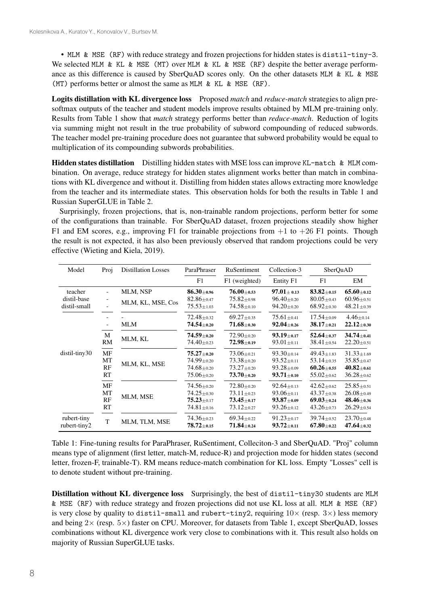• MLM & MSE (RF) with reduce strategy and frozen projections for hidden states is distil-tiny-3. We selected MLM & KL & MSE (MT) over MLM & KL & MSE (RF) despite the better average performance as this difference is caused by SberQuAD scores only. On the other datasets MLM & KL & MSE (MT) performs better or almost the same as MLM & KL & MSE (RF).

Logits distillation with KL divergence loss Proposed *match* and *reduce-match* strategies to align presoftmax outputs of the teacher and student models improve results obtained by MLM pre-training only. Results from Table 1 show that *match* strategy performs better than *reduce-match*. Reduction of logits via summing might not result in the true probability of subword compounding of reduced subwords. The teacher model pre-training procedure does not guarantee that subword probability would be equal to multiplication of its compounding subwords probabilities.

Hidden states distillation Distilling hidden states with MSE loss can improve KL-match & MLM combination. On average, reduce strategy for hidden states alignment works better than match in combinations with KL divergence and without it. Distilling from hidden states allows extracting more knowledge from the teacher and its intermediate states. This observation holds for both the results in Table 1 and Russian SuperGLUE in Table 2.

Surprisingly, frozen projections, that is, non-trainable random projections, perform better for some of the configurations than trainable. For SberQuAD dataset, frozen projections steadily show higher F1 and EM scores, e.g., improving F1 for trainable projections from  $+1$  to  $+26$  F1 points. Though the result is not expected, it has also been previously observed that random projections could be very effective (Wieting and Kiela, 2019).

| Model                       | Proj                 | <b>Distillation Losses</b> | ParaPhraser                                                                  | RuSentiment                                                                | Collection-3                                                                 | SberQuAD                                                                     |                                                                            |
|-----------------------------|----------------------|----------------------------|------------------------------------------------------------------------------|----------------------------------------------------------------------------|------------------------------------------------------------------------------|------------------------------------------------------------------------------|----------------------------------------------------------------------------|
|                             |                      |                            | F1                                                                           | F1 (weighted)                                                              | Entity F1                                                                    | F1                                                                           | EM                                                                         |
| teacher                     |                      | MLM, NSP                   | $86.30 \pm 0.96$                                                             | $76.00 + 0.53$                                                             | $97.01 \pm 0.13$                                                             | $83.82 + 0.15$                                                               | $65.60 + 0.12$                                                             |
| distil-base<br>distil-small |                      | MLM, KL, MSE, Cos          | $82.86 + 0.47$<br>$75.53 \pm 1.03$                                           | $75.82 \pm 0.98$<br>$74.58 \pm 0.10$                                       | $96.40 \pm 0.20$<br>$94.20 \pm 0.20$                                         | $80.05 + 0.43$<br>$68.92 \pm 0.30$                                           | $60.96 + 0.51$<br>$48.21 \pm 0.39$                                         |
|                             |                      |                            | $72.48 + 0.32$                                                               | $69.27 \pm 0.35$                                                           | $75.61 \pm 0.41$                                                             | $17.54 + 0.09$                                                               | $4.46 + 0.14$                                                              |
|                             |                      | <b>MLM</b>                 | $74.54_{\pm 0.20}$                                                           | $71.68 \scriptstyle{\pm 0.30}$                                             | $92.04 \pm 0.26$                                                             | $38.17{\scriptstyle \pm0.21}$                                                | $22.12 + 0.30$                                                             |
|                             | M<br><b>RM</b>       | MLM, KL                    | $74.59_{\pm 0.20}$<br>$74.40 \pm 0.23$                                       | $72.90 + 0.20$<br>$72.98 \pm 0.19$                                         | $93.19 \pm 0.17$<br>$93.01 \pm 0.11$                                         | $52.64 \pm 0.37$<br>$38.41 \pm 0.54$                                         | $34.74 + 0.41$<br>$22.20 \pm 0.51$                                         |
| distil-tiny30               | MF<br>MT<br>RF<br>RT | MLM, KL, MSE               | $75.27 + 0.20$<br>$74.99 \pm 0.20$<br>$74.68 \pm 0.20$<br>$75.06 \pm 0.20$   | $73.06 + 0.21$<br>$73.38 + 0.20$<br>$73.27 \pm 0.20$<br>$73.70_{\pm 0.20}$ | $93.30 \pm 0.14$<br>$93.52 + 0.11$<br>$93.28 \pm 0.09$<br>$93.71_{\pm0.10}$  | $49.43 \pm 1.83$<br>$53.14 \pm 0.35$<br>$60.26 \pm 0.55$<br>$55.02 \pm 0.62$ | $31.33 \pm 1.69$<br>$35.85 \pm 0.47$<br>$40.82 + 0.61$<br>$36.28 \pm 0.62$ |
|                             | MF<br>МT<br>RF<br>RT | MLM, MSE                   | $74.56 \pm 0.20$<br>$74.25 \pm 0.30$<br>$75.23 \pm 0.17$<br>$74.81 \pm 0.16$ | $72.80 + 0.20$<br>$73.11 \pm 0.23$<br>$73.45 + 0.17$<br>$73.12 \pm 0.27$   | $92.64 \pm 0.13$<br>$93.06 + 0.11$<br>$93.87_{\pm 0.09}$<br>$93.26 \pm 0.12$ | $42.62 + 0.62$<br>$43.37 + 0.38$<br>$69.03 \pm 0.24$<br>$43.26 \pm 0.73$     | $25.85 + 0.51$<br>$26.08 + 0.49$<br>$48.46 \pm 0.36$<br>$26.29 + 0.54$     |
| rubert-tiny<br>rubert-tiny2 | T                    | MLM, TLM, MSE              | $74.36 \pm 0.23$<br>$78.72{\scriptstyle \pm0.15}$                            | $69.34 \pm 0.22$<br>$71.84 \scriptstyle{\pm 0.24}$                         | $91.23 \pm 0.17$<br>$93.72{\scriptstyle \pm0.11}$                            | $39.74 \pm 0.52$<br>$67.80 \pm 0.22$                                         | $23.70 \pm 0.48$<br>$47.64 + 0.32$                                         |

Table 1: Fine-tuning results for ParaPhraser, RuSentiment, Colleciton-3 and SberQuAD. "Proj" column means type of alignment (first letter, match-M, reduce-R) and projection mode for hidden states (second letter, frozen-F, trainable-T). RM means reduce-match combination for KL loss. Empty "Losses" cell is to denote student without pre-training.

Distillation without KL divergence loss Surprisingly, the best of distil-tiny30 students are MLM & MSE (RF) with reduce strategy and frozen projections did not use KL loss at all. MLM & MSE (RF) is very close by quality to distil-small and rubert-tiny2, requiring  $10\times$  (resp.  $3\times$ ) less memory and being  $2\times$  (resp.  $5\times$ ) faster on CPU. Moreover, for datasets from Table 1, except SberQuAD, losses combinations without KL divergence work very close to combinations with it. This result also holds on majority of Russian SuperGLUE tasks.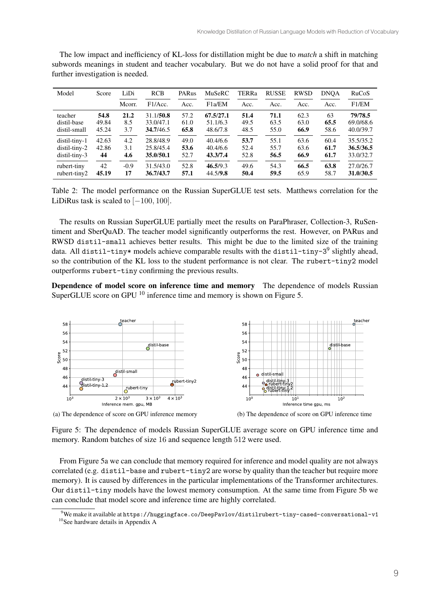| Model         | Score | LiDi   | <b>RCB</b> | PARus | <b>MuSeRC</b>       | <b>TERRa</b> | <b>RUSSE</b> | <b>RWSD</b> | <b>DNOA</b> | RuCoS     |
|---------------|-------|--------|------------|-------|---------------------|--------------|--------------|-------------|-------------|-----------|
|               |       | Mcorr. | F1/Acc.    | Acc.  | F <sub>1</sub> a/EM | Acc.         | Acc.         | Acc.        | Acc.        | F1/EM     |
| teacher       | 54.8  | 21.2   | 31.1/50.8  | 57.2  | 67.5/27.1           | 51.4         | 71.1         | 62.3        | 63          | 79/78.5   |
| distil-base   | 49.84 | 8.5    | 33.0/47.1  | 61.0  | 51.1/6.3            | 49.5         | 63.5         | 63.0        | 65.5        | 69.0/68.6 |
| distil-small  | 45.24 | 3.7    | 34.7/46.5  | 65.8  | 48.6/7.8            | 48.5         | 55.0         | 66.9        | 58.6        | 40.0/39.7 |
| distil-tiny-1 | 42.63 | 4.2    | 28.8/48.9  | 49.0  | 40.4/6.6            | 53.7         | 55.1         | 63.6        | 60.4        | 35.5/35.2 |
| distil-tiny-2 | 42.86 | 3.1    | 25.8/45.4  | 53.6  | 40.4/6.6            | 52.4         | 55.7         | 63.6        | 61.7        | 36.5/36.5 |
| distil-tiny-3 | 44    | 4.6    | 35.0/50.1  | 52.7  | 43.3/7.4            | 52.8         | 56.5         | 66.9        | 61.7        | 33.0/32.7 |
| rubert-tiny   | 42    | $-0.9$ | 31.5/43.0  | 52.8  | 46.5/9.3            | 49.6         | 54.3         | 66.5        | 63.8        | 27.0/26.7 |
| rubert-tiny2  | 45.19 | 17     | 36.7/43.7  | 57.1  | 44.5/9.8            | 50.4         | 59.5         | 65.9        | 58.7        | 31.0/30.5 |

The low impact and inefficiency of KL-loss for distillation might be due to *match* a shift in matching subwords meanings in student and teacher vocabulary. But we do not have a solid proof for that and further investigation is needed.

Table 2: The model performance on the Russian SuperGLUE test sets. Matthews correlation for the LiDiRus task is scaled to  $[-100, 100]$ .

The results on Russian SuperGLUE partially meet the results on ParaPhraser, Collection-3, RuSentiment and SberQuAD. The teacher model significantly outperforms the rest. However, on PARus and RWSD distil-small achieves better results. This might be due to the limited size of the training data. All distil-tiny\* models achieve comparable results with the distil-tiny- $3^9$  slightly ahead, so the contribution of the KL loss to the student performance is not clear. The rubert-tiny2 model outperforms rubert-tiny confirming the previous results.

Dependence of model score on inference time and memory The dependence of models Russian SuperGLUE score on GPU <sup>10</sup> inference time and memory is shown on Figure 5.



(a) The dependence of score on GPU inference memory



Figure 5: The dependence of models Russian SuperGLUE average score on GPU inference time and memory. Random batches of size 16 and sequence length 512 were used.

From Figure 5a we can conclude that memory required for inference and model quality are not always correlated (e.g. distil-base and rubert-tiny2 are worse by quality than the teacher but require more memory). It is caused by differences in the particular implementations of the Transformer architectures. Our distil-tiny models have the lowest memory consumption. At the same time from Figure 5b we can conclude that model score and inference time are highly correlated.

 $^9$ We make it available at <code>https://huggingface.co/DeepPavlov/distilrubert-tiny-cased-conversational-v1</code> <sup>10</sup>See hardware details in Appendix A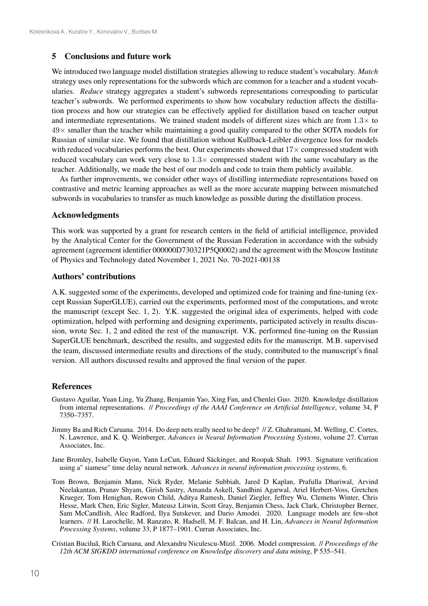#### 5 Conclusions and future work

We introduced two language model distillation strategies allowing to reduce student's vocabulary. *Match* strategy uses only representations for the subwords which are common for a teacher and a student vocabularies. *Reduce* strategy aggregates a student's subwords representations corresponding to particular teacher's subwords. We performed experiments to show how vocabulary reduction affects the distillation process and how our strategies can be effectively applied for distillation based on teacher output and intermediate representations. We trained student models of different sizes which are from  $1.3\times$  to  $49\times$  smaller than the teacher while maintaining a good quality compared to the other SOTA models for Russian of similar size. We found that distillation without Kullback-Leibler divergence loss for models with reduced vocabularies performs the best. Our experiments showed that  $17\times$  compressed student with reduced vocabulary can work very close to  $1.3\times$  compressed student with the same vocabulary as the teacher. Additionally, we made the best of our models and code to train them publicly available.

As further improvements, we consider other ways of distilling intermediate representations based on contrastive and metric learning approaches as well as the more accurate mapping between mismatched subwords in vocabularies to transfer as much knowledge as possible during the distillation process.

#### Acknowledgments

This work was supported by a grant for research centers in the field of artificial intelligence, provided by the Analytical Center for the Government of the Russian Federation in accordance with the subsidy agreement (agreement identifier 000000D730321P5Q0002) and the agreement with the Moscow Institute of Physics and Technology dated November 1, 2021 No. 70-2021-00138

#### Authors' contributions

A.K. suggested some of the experiments, developed and optimized code for training and fine-tuning (except Russian SuperGLUE), carried out the experiments, performed most of the computations, and wrote the manuscript (except Sec. 1, 2). Y.K. suggested the original idea of experiments, helped with code optimization, helped with performing and designing experiments, participated actively in results discussion, wrote Sec. 1, 2 and edited the rest of the manuscript. V.K. performed fine-tuning on the Russian SuperGLUE benchmark, described the results, and suggested edits for the manuscript. M.B. supervised the team, discussed intermediate results and directions of the study, contributed to the manuscript's final version. All authors discussed results and approved the final version of the paper.

#### **References**

- Gustavo Aguilar, Yuan Ling, Yu Zhang, Benjamin Yao, Xing Fan, and Chenlei Guo. 2020. Knowledge distillation from internal representations. // *Proceedings of the AAAI Conference on Artificial Intelligence*, volume 34, P 7350–7357.
- Jimmy Ba and Rich Caruana. 2014. Do deep nets really need to be deep? // Z. Ghahramani, M. Welling, C. Cortes, N. Lawrence, and K. Q. Weinberger, *Advances in Neural Information Processing Systems*, volume 27. Curran Associates, Inc.
- Jane Bromley, Isabelle Guyon, Yann LeCun, Eduard Säckinger, and Roopak Shah. 1993. Signature verification using a" siamese" time delay neural network. *Advances in neural information processing systems*, 6.
- Tom Brown, Benjamin Mann, Nick Ryder, Melanie Subbiah, Jared D Kaplan, Prafulla Dhariwal, Arvind Neelakantan, Pranav Shyam, Girish Sastry, Amanda Askell, Sandhini Agarwal, Ariel Herbert-Voss, Gretchen Krueger, Tom Henighan, Rewon Child, Aditya Ramesh, Daniel Ziegler, Jeffrey Wu, Clemens Winter, Chris Hesse, Mark Chen, Eric Sigler, Mateusz Litwin, Scott Gray, Benjamin Chess, Jack Clark, Christopher Berner, Sam McCandlish, Alec Radford, Ilya Sutskever, and Dario Amodei. 2020. Language models are few-shot learners. // H. Larochelle, M. Ranzato, R. Hadsell, M. F. Balcan, and H. Lin, *Advances in Neural Information Processing Systems*, volume 33, P 1877–1901. Curran Associates, Inc.
- Cristian Buciluă, Rich Caruana, and Alexandru Niculescu-Mizil. 2006. Model compression. *// Proceedings of the 12th ACM SIGKDD international conference on Knowledge discovery and data mining*, P 535–541.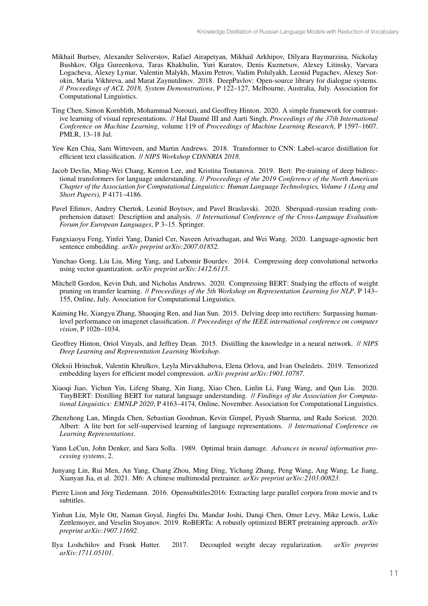- Mikhail Burtsev, Alexander Seliverstov, Rafael Airapetyan, Mikhail Arkhipov, Dilyara Baymurzina, Nickolay Bushkov, Olga Gureenkova, Taras Khakhulin, Yuri Kuratov, Denis Kuznetsov, Alexey Litinsky, Varvara Logacheva, Alexey Lymar, Valentin Malykh, Maxim Petrov, Vadim Polulyakh, Leonid Pugachev, Alexey Sorokin, Maria Vikhreva, and Marat Zaynutdinov. 2018. DeepPavlov: Open-source library for dialogue systems. // *Proceedings of ACL 2018, System Demonstrations*, P 122–127, Melbourne, Australia, July. Association for Computational Linguistics.
- Ting Chen, Simon Kornblith, Mohammad Norouzi, and Geoffrey Hinton. 2020. A simple framework for contrastive learning of visual representations. // Hal Daumé III and Aarti Singh, *Proceedings of the 37th International Conference on Machine Learning*, volume 119 of *Proceedings of Machine Learning Research*, P 1597–1607. PMLR, 13–18 Jul.
- Yew Ken Chia, Sam Witteveen, and Martin Andrews. 2018. Transformer to CNN: Label-scarce distillation for efficient text classification. // *NIPS Workshop CDNNRIA 2018*.
- Jacob Devlin, Ming-Wei Chang, Kenton Lee, and Kristina Toutanova. 2019. Bert: Pre-training of deep bidirectional transformers for language understanding. // *Proceedings of the 2019 Conference of the North American Chapter of the Association for Computational Linguistics: Human Language Technologies, Volume 1 (Long and Short Papers)*, P 4171–4186.
- Pavel Efimov, Andrey Chertok, Leonid Boytsov, and Pavel Braslavski. 2020. Sberquad–russian reading comprehension dataset: Description and analysis. // *International Conference of the Cross-Language Evaluation Forum for European Languages*, P 3–15. Springer.
- Fangxiaoyu Feng, Yinfei Yang, Daniel Cer, Naveen Arivazhagan, and Wei Wang. 2020. Language-agnostic bert sentence embedding. *arXiv preprint arXiv:2007.01852*.
- Yunchao Gong, Liu Liu, Ming Yang, and Lubomir Bourdev. 2014. Compressing deep convolutional networks using vector quantization. *arXiv preprint arXiv:1412.6115*.
- Mitchell Gordon, Kevin Duh, and Nicholas Andrews. 2020. Compressing BERT: Studying the effects of weight pruning on transfer learning. // *Proceedings of the 5th Workshop on Representation Learning for NLP*, P 143– 155, Online, July. Association for Computational Linguistics.
- Kaiming He, Xiangyu Zhang, Shaoqing Ren, and Jian Sun. 2015. Delving deep into rectifiers: Surpassing humanlevel performance on imagenet classification. // *Proceedings of the IEEE international conference on computer vision*, P 1026–1034.
- Geoffrey Hinton, Oriol Vinyals, and Jeffrey Dean. 2015. Distilling the knowledge in a neural network. // *NIPS Deep Learning and Representation Learning Workshop*.
- Oleksii Hrinchuk, Valentin Khrulkov, Leyla Mirvakhabova, Elena Orlova, and Ivan Oseledets. 2019. Tensorized embedding layers for efficient model compression. *arXiv preprint arXiv:1901.10787*.
- Xiaoqi Jiao, Yichun Yin, Lifeng Shang, Xin Jiang, Xiao Chen, Linlin Li, Fang Wang, and Qun Liu. 2020. TinyBERT: Distilling BERT for natural language understanding. // *Findings of the Association for Computational Linguistics: EMNLP 2020*, P 4163–4174, Online, November. Association for Computational Linguistics.
- Zhenzhong Lan, Mingda Chen, Sebastian Goodman, Kevin Gimpel, Piyush Sharma, and Radu Soricut. 2020. Albert: A lite bert for self-supervised learning of language representations. // *International Conference on Learning Representations*.
- Yann LeCun, John Denker, and Sara Solla. 1989. Optimal brain damage. *Advances in neural information processing systems*, 2.
- Junyang Lin, Rui Men, An Yang, Chang Zhou, Ming Ding, Yichang Zhang, Peng Wang, Ang Wang, Le Jiang, Xianyan Jia, et al. 2021. M6: A chinese multimodal pretrainer. *arXiv preprint arXiv:2103.00823*.
- Pierre Lison and Jörg Tiedemann. 2016. Opensubtitles2016: Extracting large parallel corpora from movie and tv subtitles.
- Yinhan Liu, Myle Ott, Naman Goyal, Jingfei Du, Mandar Joshi, Danqi Chen, Omer Levy, Mike Lewis, Luke Zettlemoyer, and Veselin Stoyanov. 2019. RoBERTa: A robustly optimized BERT pretraining approach. *arXiv preprint arXiv:1907.11692*.
- Ilya Loshchilov and Frank Hutter. 2017. Decoupled weight decay regularization. *arXiv preprint arXiv:1711.05101*.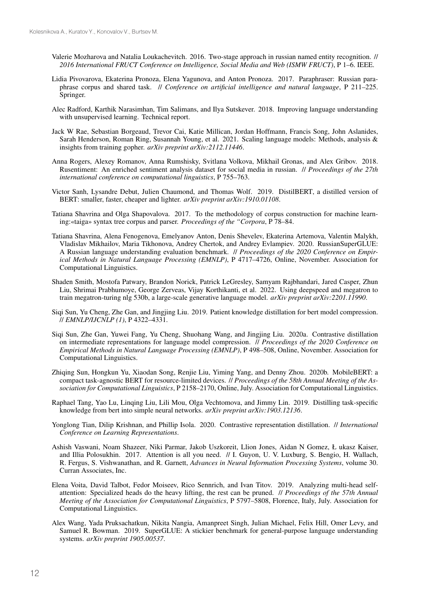- Valerie Mozharova and Natalia Loukachevitch. 2016. Two-stage approach in russian named entity recognition. // *2016 International FRUCT Conference on Intelligence, Social Media and Web (ISMW FRUCT)*, P 1–6. IEEE.
- Lidia Pivovarova, Ekaterina Pronoza, Elena Yagunova, and Anton Pronoza. 2017. Paraphraser: Russian paraphrase corpus and shared task. // *Conference on artificial intelligence and natural language*, P 211–225. Springer.
- Alec Radford, Karthik Narasimhan, Tim Salimans, and Ilya Sutskever. 2018. Improving language understanding with unsupervised learning. Technical report.
- Jack W Rae, Sebastian Borgeaud, Trevor Cai, Katie Millican, Jordan Hoffmann, Francis Song, John Aslanides, Sarah Henderson, Roman Ring, Susannah Young, et al. 2021. Scaling language models: Methods, analysis & insights from training gopher. *arXiv preprint arXiv:2112.11446*.
- Anna Rogers, Alexey Romanov, Anna Rumshisky, Svitlana Volkova, Mikhail Gronas, and Alex Gribov. 2018. Rusentiment: An enriched sentiment analysis dataset for social media in russian. // *Proceedings of the 27th international conference on computational linguistics*, P 755–763.
- Victor Sanh, Lysandre Debut, Julien Chaumond, and Thomas Wolf. 2019. DistilBERT, a distilled version of BERT: smaller, faster, cheaper and lighter. *arXiv preprint arXiv:1910.01108*.
- Tatiana Shavrina and Olga Shapovalova. 2017. To the methodology of corpus construction for machine learning:«taiga» syntax tree corpus and parser. *Proceedings of the "Corpora*, P 78–84.
- Tatiana Shavrina, Alena Fenogenova, Emelyanov Anton, Denis Shevelev, Ekaterina Artemova, Valentin Malykh, Vladislav Mikhailov, Maria Tikhonova, Andrey Chertok, and Andrey Evlampiev. 2020. RussianSuperGLUE: A Russian language understanding evaluation benchmark. // *Proceedings of the 2020 Conference on Empirical Methods in Natural Language Processing (EMNLP)*, P 4717–4726, Online, November. Association for Computational Linguistics.
- Shaden Smith, Mostofa Patwary, Brandon Norick, Patrick LeGresley, Samyam Rajbhandari, Jared Casper, Zhun Liu, Shrimai Prabhumoye, George Zerveas, Vijay Korthikanti, et al. 2022. Using deepspeed and megatron to train megatron-turing nlg 530b, a large-scale generative language model. *arXiv preprint arXiv:2201.11990*.
- Siqi Sun, Yu Cheng, Zhe Gan, and Jingjing Liu. 2019. Patient knowledge distillation for bert model compression. // *EMNLP/IJCNLP (1)*, P 4322–4331.
- Siqi Sun, Zhe Gan, Yuwei Fang, Yu Cheng, Shuohang Wang, and Jingjing Liu. 2020a. Contrastive distillation on intermediate representations for language model compression. // *Proceedings of the 2020 Conference on Empirical Methods in Natural Language Processing (EMNLP)*, P 498–508, Online, November. Association for Computational Linguistics.
- Zhiqing Sun, Hongkun Yu, Xiaodan Song, Renjie Liu, Yiming Yang, and Denny Zhou. 2020b. MobileBERT: a compact task-agnostic BERT for resource-limited devices. // *Proceedings of the 58th Annual Meeting of the Association for Computational Linguistics*, P 2158–2170, Online, July. Association for Computational Linguistics.
- Raphael Tang, Yao Lu, Linqing Liu, Lili Mou, Olga Vechtomova, and Jimmy Lin. 2019. Distilling task-specific knowledge from bert into simple neural networks. *arXiv preprint arXiv:1903.12136*.
- Yonglong Tian, Dilip Krishnan, and Phillip Isola. 2020. Contrastive representation distillation. // *International Conference on Learning Representations*.
- Ashish Vaswani, Noam Shazeer, Niki Parmar, Jakob Uszkoreit, Llion Jones, Aidan N Gomez, Ł ukasz Kaiser, and Illia Polosukhin. 2017. Attention is all you need. // I. Guyon, U. V. Luxburg, S. Bengio, H. Wallach, R. Fergus, S. Vishwanathan, and R. Garnett, *Advances in Neural Information Processing Systems*, volume 30. Curran Associates, Inc.
- Elena Voita, David Talbot, Fedor Moiseev, Rico Sennrich, and Ivan Titov. 2019. Analyzing multi-head selfattention: Specialized heads do the heavy lifting, the rest can be pruned. // *Proceedings of the 57th Annual Meeting of the Association for Computational Linguistics*, P 5797–5808, Florence, Italy, July. Association for Computational Linguistics.
- Alex Wang, Yada Pruksachatkun, Nikita Nangia, Amanpreet Singh, Julian Michael, Felix Hill, Omer Levy, and Samuel R. Bowman. 2019. SuperGLUE: A stickier benchmark for general-purpose language understanding systems. *arXiv preprint 1905.00537*.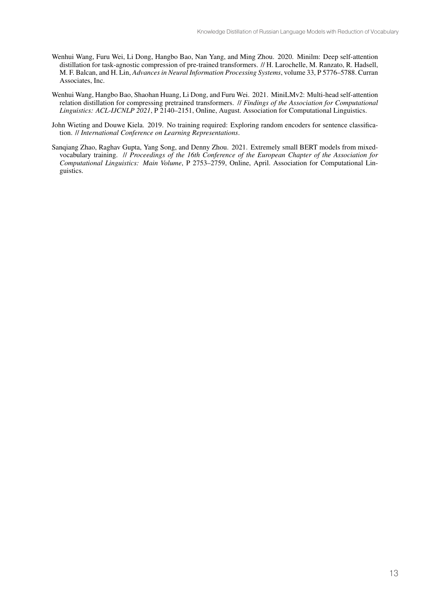- Wenhui Wang, Furu Wei, Li Dong, Hangbo Bao, Nan Yang, and Ming Zhou. 2020. Minilm: Deep self-attention distillation for task-agnostic compression of pre-trained transformers. // H. Larochelle, M. Ranzato, R. Hadsell, M. F. Balcan, and H. Lin, *Advances in Neural Information Processing Systems*, volume 33, P 5776–5788. Curran Associates, Inc.
- Wenhui Wang, Hangbo Bao, Shaohan Huang, Li Dong, and Furu Wei. 2021. MiniLMv2: Multi-head self-attention relation distillation for compressing pretrained transformers. // *Findings of the Association for Computational Linguistics: ACL-IJCNLP 2021*, P 2140–2151, Online, August. Association for Computational Linguistics.
- John Wieting and Douwe Kiela. 2019. No training required: Exploring random encoders for sentence classification. // *International Conference on Learning Representations*.
- Sanqiang Zhao, Raghav Gupta, Yang Song, and Denny Zhou. 2021. Extremely small BERT models from mixedvocabulary training. // *Proceedings of the 16th Conference of the European Chapter of the Association for Computational Linguistics: Main Volume*, P 2753–2759, Online, April. Association for Computational Linguistics.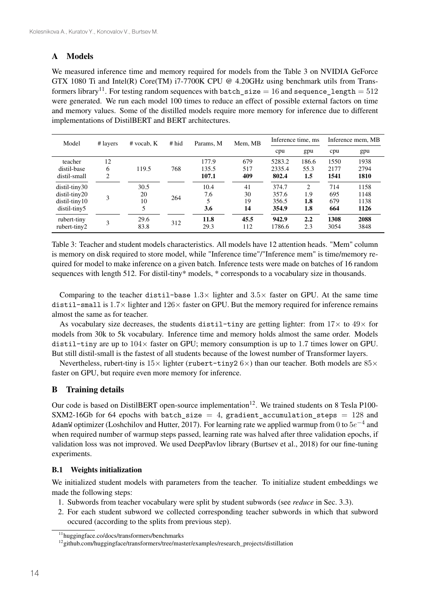# A Models

We measured inference time and memory required for models from the Table 3 on NVIDIA GeForce GTX 1080 Ti and Intel(R) Core(TM) i7-7700K CPU @ 4.20GHz using benchmark utils from Transformers library<sup>11</sup>. For testing random sequences with batch  $size = 16$  and sequence length = 512 were generated. We run each model 100 times to reduce an effect of possible external factors on time and memory values. Some of the distilled models require more memory for inference due to different implementations of DistilBERT and BERT architectures.

| Model                                                             | # layers     | $#$ vocab, $K$        | $#$ hid | Params, M               | Mem, MB              |                                  | Inference time, ms      |                          | Inference mem, MB            |
|-------------------------------------------------------------------|--------------|-----------------------|---------|-------------------------|----------------------|----------------------------------|-------------------------|--------------------------|------------------------------|
|                                                                   |              |                       |         |                         |                      | cpu                              | gpu                     | cpu                      | gpu                          |
| teacher<br>distil-base<br>distil-small                            | 12<br>6<br>2 | 119.5                 | 768     | 177.9<br>135.5<br>107.1 | 679<br>517<br>409    | 5283.2<br>2335.4<br>802.4        | 186.6<br>55.3<br>1.5    | 1550<br>2177<br>1541     | 1938<br>2794<br>1810         |
| distil-tiny30<br>distil-tiny20<br>$distil-tiny10$<br>distil-tiny5 | 3            | 30.5<br>20<br>10<br>5 | 264     | 10.4<br>7.6<br>3.6      | 41<br>30<br>19<br>14 | 374.7<br>357.6<br>356.5<br>354.9 | 2<br>1.9<br>1.8<br>1.8  | 714<br>695<br>679<br>664 | 1158<br>1148<br>1138<br>1126 |
| rubert-tiny<br>rubert-tiny2                                       | 3            | 29.6<br>83.8          | 312     | 11.8<br>29.3            | 45.5<br>112          | 942.9<br>1786.6                  | $2.2\phantom{0}$<br>2.3 | 1308<br>3054             | 2088<br>3848                 |

Table 3: Teacher and student models characteristics. All models have 12 attention heads. "Mem" column is memory on disk required to store model, while "Inference time"/"Inference mem" is time/memory required for model to make inference on a given batch. Inference tests were made on batches of 16 random sequences with length 512. For distil-tiny\* models, \* corresponds to a vocabulary size in thousands.

Comparing to the teacher distil-base  $1.3\times$  lighter and  $3.5\times$  faster on GPU. At the same time distil-small is  $1.7 \times$  lighter and  $126 \times$  faster on GPU. But the memory required for inference remains almost the same as for teacher.

As vocabulary size decreases, the students distil-tiny are getting lighter: from  $17\times$  to  $49\times$  for models from 30k to 5k vocabulary. Inference time and memory holds almost the same order. Models distil-tiny are up to  $104\times$  faster on GPU; memory consumption is up to 1.7 times lower on GPU. But still distil-small is the fastest of all students because of the lowest number of Transformer layers.

Nevertheless, rubert-tiny is  $15\times$  lighter (rubert-tiny2 6 $\times$ ) than our teacher. Both models are  $85\times$ faster on GPU, but require even more memory for inference.

## B Training details

Our code is based on DistilBERT open-source implementation<sup>12</sup>. We trained students on 8 Tesla P100-SXM2-16Gb for 64 epochs with batch size = 4, gradient accumulation steps = 128 and AdamW optimizer (Loshchilov and Hutter, 2017). For learning rate we applied warmup from 0 to  $5e^{-4}$  and when required number of warmup steps passed, learning rate was halved after three validation epochs, if validation loss was not improved. We used DeepPavlov library (Burtsev et al., 2018) for our fine-tuning experiments.

## B.1 Weights initialization

We initialized student models with parameters from the teacher. To initialize student embeddings we made the following steps:

- 1. Subwords from teacher vocabulary were split by student subwords (see *reduce* in Sec. 3.3).
- 2. For each student subword we collected corresponding teacher subwords in which that subword occured (according to the splits from previous step).

<sup>11</sup>huggingface.co/docs/transformers/benchmarks

<sup>&</sup>lt;sup>12</sup> github.com/huggingface/transformers/tree/master/examples/research\_projects/distillation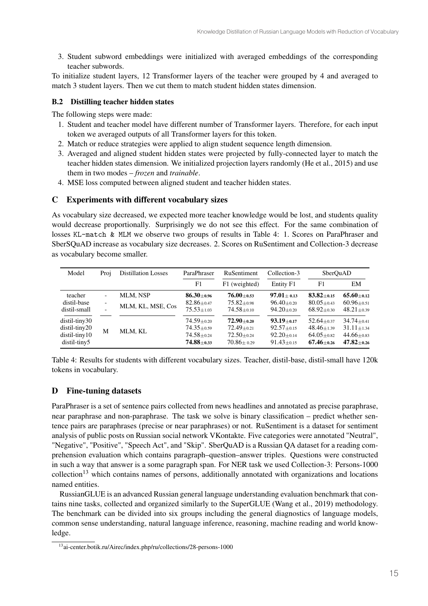3. Student subword embeddings were initialized with averaged embeddings of the corresponding teacher subwords.

To initialize student layers, 12 Transformer layers of the teacher were grouped by 4 and averaged to match 3 student layers. Then we cut them to match student hidden states dimension.

## B.2 Distilling teacher hidden states

The following steps were made:

- 1. Student and teacher model have different number of Transformer layers. Therefore, for each input token we averaged outputs of all Transformer layers for this token.
- 2. Match or reduce strategies were applied to align student sequence length dimension.
- 3. Averaged and aligned student hidden states were projected by fully-connected layer to match the teacher hidden states dimension. We initialized projection layers randomly (He et al., 2015) and use them in two modes – *frozen* and *trainable*.
- 4. MSE loss computed between aligned student and teacher hidden states.

## C Experiments with different vocabulary sizes

As vocabulary size decreased, we expected more teacher knowledge would be lost, and students quality would decrease proportionally. Surprisingly we do not see this effect. For the same combination of losses KL-match & MLM we observe two groups of results in Table 4: 1. Scores on ParaPhraser and SberSQuAD increase as vocabulary size decreases. 2. Scores on RuSentiment and Collection-3 decrease as vocabulary become smaller.

| Model           | Proi | <b>Distillation Losses</b> | ParaPhraser                  | RuSentiment      | Collection-3     | SberQuAD                       |                    |
|-----------------|------|----------------------------|------------------------------|------------------|------------------|--------------------------------|--------------------|
|                 |      |                            | F1                           | F1 (weighted)    | Entity F1        | F1                             | EM                 |
| teacher         | -    | MLM, NSP                   | $86.30 \pm 0.96$             | $76.00 \pm 0.53$ | $97.01 \pm 0.13$ | $83.82 + 0.15$                 | $65.60 \pm 0.12$   |
| distil-base     |      | MLM, KL, MSE, Cos          | $82.86 \pm 0.47$             | $75.82 \pm 0.98$ | $96.40 \pm 0.20$ | $80.05 + 0.43$                 | $60.96 + 0.51$     |
| distil-small    |      |                            | $75.53 \pm 1.03$             | $74.58 + 0.10$   | $94.20 \pm 0.20$ | $68.92{\scriptstyle \pm 0.30}$ | $48.21 \pm 0.39$   |
| distil-tiny30   |      |                            | $74.59{\scriptstyle\pm0.20}$ | $72.90 \pm 0.20$ | $93.19 \pm 0.17$ | $52.64 \pm 0.37$               | $34.74 \pm 0.41$   |
| distil-tiny20   | M    | MLM, KL                    | $74.35 \pm 0.59$             | $72.49 \pm 0.21$ | $92.57 \pm 0.15$ | $48.46 \pm 1.39$               | $31.11 \pm 1.34$   |
| $distil-tiny10$ |      |                            | $74.58 \pm 0.24$             | $72.50 \pm 0.24$ | $92.20 \pm 0.14$ | $64.05 \pm 0.82$               | $44.66 \pm 0.83$   |
| distil-tiny5    |      |                            | $74.88 + 0.33$               | $70.86 \pm 0.29$ | $91.43 \pm 0.15$ | $67.46 \pm 0.26$               | $47.82_{\pm 0.26}$ |

Table 4: Results for students with different vocabulary sizes. Teacher, distil-base, distil-small have 120k tokens in vocabulary.

## D Fine-tuning datasets

ParaPhraser is a set of sentence pairs collected from news headlines and annotated as precise paraphrase, near paraphrase and non-paraphrase. The task we solve is binary classification – predict whether sentence pairs are paraphrases (precise or near paraphrases) or not. RuSentiment is a dataset for sentiment analysis of public posts on Russian social network VKontakte. Five categories were annotated "Neutral", "Negative", "Positive", "Speech Act", and "Skip". SberQuAD is a Russian QA dataset for a reading comprehension evaluation which contains paragraph–question–answer triples. Questions were constructed in such a way that answer is a some paragraph span. For NER task we used Collection-3: Persons-1000  $\text{collection}^{13}$  which contains names of persons, additionally annotated with organizations and locations named entities.

RussianGLUE is an advanced Russian general language understanding evaluation benchmark that contains nine tasks, collected and organized similarly to the SuperGLUE (Wang et al., 2019) methodology. The benchmark can be divided into six groups including the general diagnostics of language models, common sense understanding, natural language inference, reasoning, machine reading and world knowledge.

<sup>13</sup>ai-center.botik.ru/Airec/index.php/ru/collections/28-persons-1000